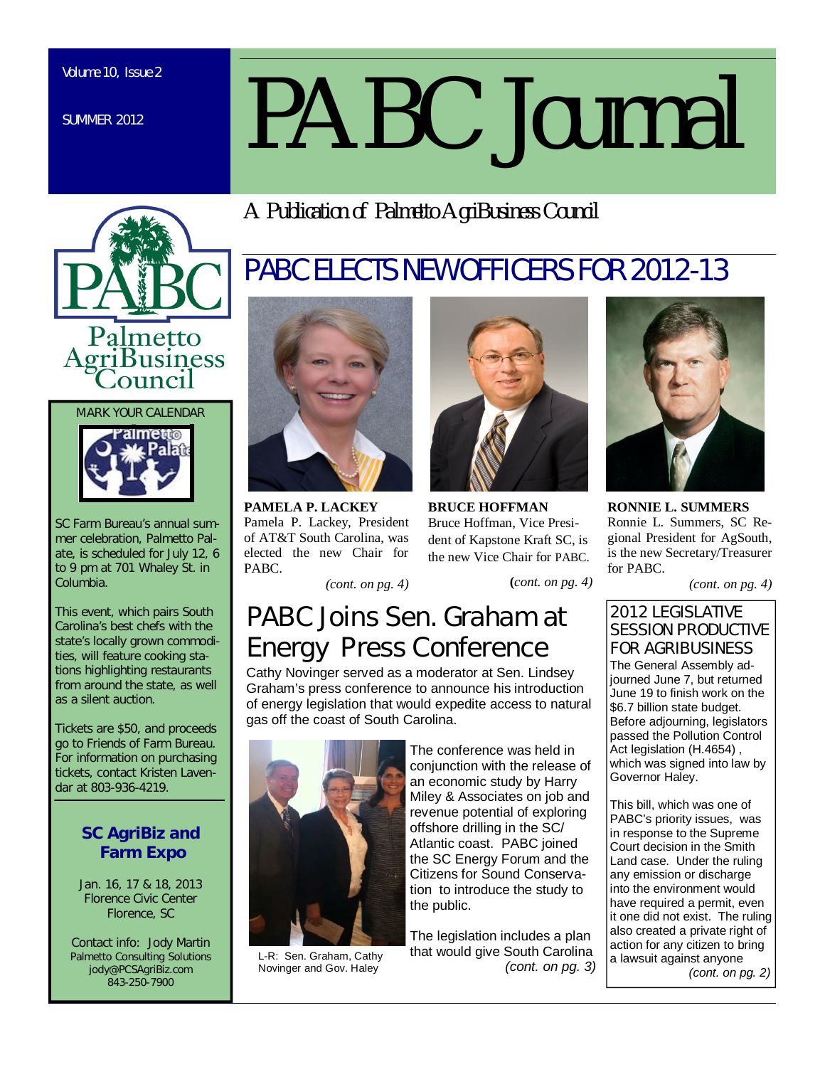SUMMER 2012

# *PABC Journal*

PABC ELECTS NEW OFFICERS FOR 2012-13

*A Publication of Palmetto AgriBusiness Council*





SC Farm Bureau's annual summer celebration, Palmetto Palate, is scheduled for July 12, 6 to 9 pm at 701 Whaley St. in Columbia.

This event, which pairs South Carolina's best chefs with the state's locally grown commodities, will feature cooking stations highlighting restaurants from around the state, as well as a silent auction.

Tickets are \$50, and proceeds go to Friends of Farm Bureau. For information on purchasing tickets, contact Kristen Lavendar at 803-936-4219.

## **SC AgriBiz and Farm Expo**

Jan. 16, 17 & 18, 2013 Florence Civic Center Florence, SC

Contact info: Jody Martin Palmetto Consulting Solutions jody@PCSAgriBiz.com 843-250-7900



**PAMELA P. LACKEY** Pamela P. Lackey, President of AT&T South Carolina, was elected the new Chair for PABC.

*(cont. on pg. 4)*



**BRUCE HOFFMAN** Bruce Hoffman, Vice President of Kapstone Kraft SC, is the new Vice Chair for PABC.

**(***cont. on pg. 4)*

# PABC Joins Sen. Graham at Energy Press Conference

Cathy Novinger served as a moderator at Sen. Lindsey Graham's press conference to announce his introduction of energy legislation that would expedite access to natural gas off the coast of South Carolina.



L-R: Sen. Graham, Cathy Novinger and Gov. Haley

The conference was held in conjunction with the release of an economic study by Harry Miley & Associates on job and revenue potential of exploring offshore drilling in the SC/ Atlantic coast. PABC joined the SC Energy Forum and the Citizens for Sound Conservation to introduce the study to the public.

The legislation includes a plan that would give South Carolina *(cont. on pg. 3)*



**RONNIE L. SUMMERS** Ronnie L. Summers, SC Regional President for AgSouth, is the new Secretary/Treasurer for PABC.

*(cont. on pg. 4)*

### 2012 LEGISLATIVE SESSION PRODUCTIVE FOR AGRIBUSINESS

The General Assembly adjourned June 7, but returned June 19 to finish work on the \$6.7 billion state budget. Before adjourning, legislators passed the Pollution Control Act legislation (H.4654) , which was signed into law by Governor Haley.

This bill, which was one of PABC's priority issues, was in response to the Supreme Court decision in the Smith Land case. Under the ruling any emission or discharge into the environment would have required a permit, even it one did not exist. The ruling also created a private right of action for any citizen to bring a lawsuit against anyone  *(cont. on pg. 2)*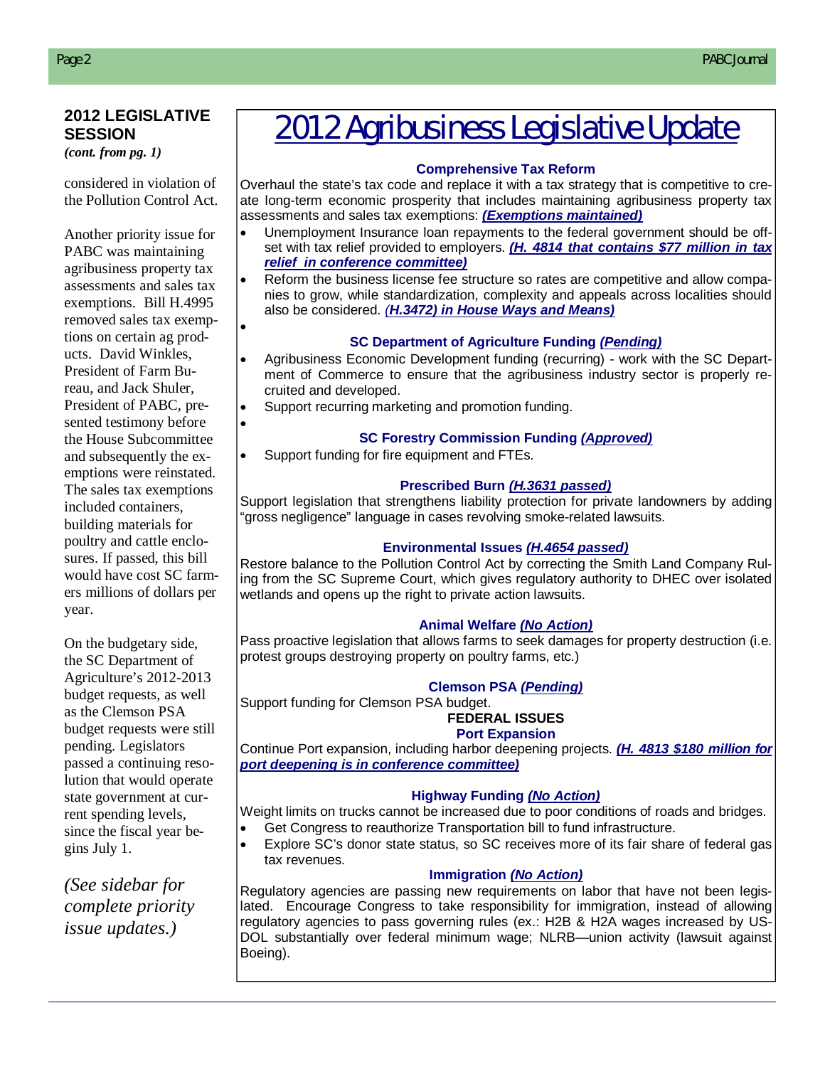### **2012 LEGISLATIVE SESSION**

*(cont. from pg. 1)*

considered in violation of the Pollution Control Act.

Another priority issue for PABC was maintaining agribusiness property tax assessments and sales tax exemptions. Bill H.4995 removed sales tax exemptions on certain ag products. David Winkles, President of Farm Bureau, and Jack Shuler, President of PABC, presented testimony before the House Subcommittee and subsequently the exemptions were reinstated. The sales tax exemptions included containers, building materials for poultry and cattle enclosures. If passed, this bill would have cost SC farmers millions of dollars per year.

 $\bullet$ 

 $\bullet$ 

On the budgetary side, the SC Department of Agriculture's 2012-2013 budget requests, as well as the Clemson PSA budget requests were still pending. Legislators passed a continuing resolution that would operate state government at current spending levels, since the fiscal year begins July 1.

*(See sidebar for complete priority issue updates.)*

# 2012 Agribusiness Legislative Update

### . **Comprehensive Tax Reform**

Overhaul the state's tax code and replace it with a tax strategy that is competitive to create long-term economic prosperity that includes maintaining agribusiness property tax assessments and sales tax exemptions: *(Exemptions maintained)* 

- Unemployment Insurance Ioan repayments to the federal government should be offset with tax relief provided to employers. *(H. 4814 that contains \$77 million in tax* Grain Producers Fund to *relief in conference committee)*
- Reform the business license fee structure so rates are competitive and allow companies to grow, while standardization, complexity and appeals across localities should also be considered. *(H.3472) in House Ways and Means)*

### **SC Department of Agriculture Funding** *(Pending)*

- Agribusiness Economic Development funding (recurring) work with the SC Department of Commerce to ensure that the agribusiness industry sector is properly recruited and developed.
- Support recurring marketing and promotion funding.

### **SC Forestry Commission Funding** *(Approved)*

Support funding for fire equipment and FTEs.

### **Prescribed Burn** *(H.3631 passed)*

Support legislation that strengthens liability protection for private landowners by adding "gross negligence" language in cases revolving smoke-related lawsuits.

### **Environmental Issues** *(H.4654 passed)*

Restore balance to the Pollution Control Act by correcting the Smith Land Company Ruling from the SC Supreme Court, which gives regulatory authority to DHEC over isolated wetlands and opens up the right to private action lawsuits.

### **Animal Welfare** *(No Action)*

Pass proactive legislation that allows farms to seek damages for property destruction (i.e. protest groups destroying property on poultry farms, etc.)

### **Clemson PSA** *(Pending)*

Support funding for Clemson PSA budget.

#### **FEDERAL ISSUES Port Expansion**

Continue Port expansion, including harbor deepening projects. *(H. 4813 \$180 million for port deepening is in conference committee)*

### **Highway Funding** *(No Action)*

Weight limits on trucks cannot be increased due to poor conditions of roads and bridges.

- Get Congress to reauthorize Transportation bill to fund infrastructure.
- Explore SC's donor state status, so SC receives more of its fair share of federal gas tax revenues.

### **Immigration** *(No Action)*

Regulatory agencies are passing new requirements on labor that have not been legislated. Encourage Congress to take responsibility for immigration, instead of allowing regulatory agencies to pass governing rules (ex.: H2B & H2A wages increased by US-DOL substantially over federal minimum wage; NLRB—union activity (lawsuit against Boeing).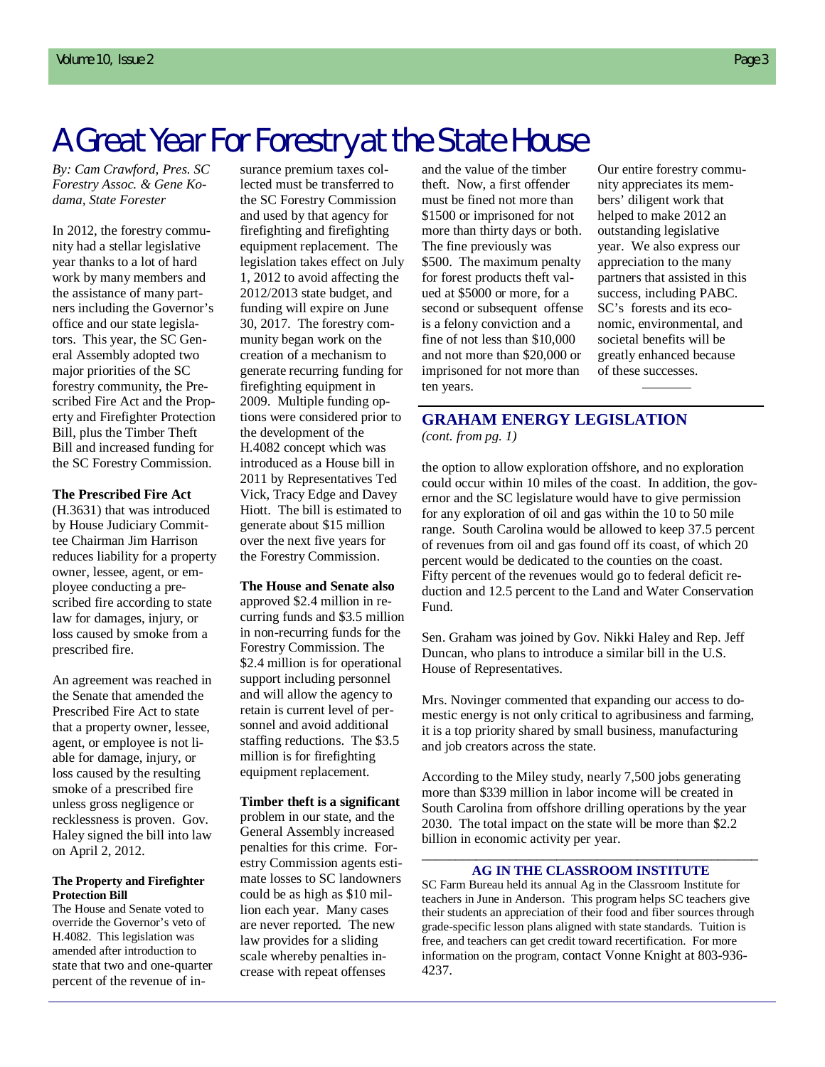# A Great Year For Forestry at the State House

*By: Cam Crawford, Pres. SC Forestry Assoc. & Gene Kodama, State Forester*

In 2012, the forestry community had a stellar legislative year thanks to a lot of hard work by many members and the assistance of many partners including the Governor's office and our state legislators. This year, the SC General Assembly adopted two major priorities of the SC forestry community, the Prescribed Fire Act and the Property and Firefighter Protection Bill, plus the Timber Theft Bill and increased funding for the SC Forestry Commission.

#### **The Prescribed Fire Act**

(H.3631) that was introduced by House Judiciary Committee Chairman Jim Harrison reduces liability for a property owner, lessee, agent, or employee conducting a prescribed fire according to state law for damages, injury, or loss caused by smoke from a prescribed fire.

An agreement was reached in the Senate that amended the Prescribed Fire Act to state that a property owner, lessee, agent, or employee is not liable for damage, injury, or loss caused by the resulting smoke of a prescribed fire unless gross negligence or recklessness is proven. Gov. Haley signed the bill into law on April 2, 2012.

#### **The Property and Firefighter Protection Bill**

The House and Senate voted to override the Governor's veto of H.4082. This legislation was amended after introduction to state that two and one-quarter percent of the revenue of insurance premium taxes collected must be transferred to the SC Forestry Commission and used by that agency for firefighting and firefighting equipment replacement. The legislation takes effect on July 1, 2012 to avoid affecting the 2012/2013 state budget, and funding will expire on June 30, 2017. The forestry community began work on the creation of a mechanism to generate recurring funding for firefighting equipment in 2009. Multiple funding options were considered prior to the development of the H.4082 concept which was introduced as a House bill in 2011 by Representatives Ted Vick, Tracy Edge and Davey Hiott. The bill is estimated to generate about \$15 million over the next five years for the Forestry Commission.

#### **The House and Senate also**

approved \$2.4 million in recurring funds and \$3.5 million in non-recurring funds for the Forestry Commission. The \$2.4 million is for operational support including personnel and will allow the agency to retain is current level of personnel and avoid additional staffing reductions. The \$3.5 million is for firefighting equipment replacement.

### **Timber theft is a significant**

problem in our state, and the General Assembly increased penalties for this crime. Forestry Commission agents estimate losses to SC landowners could be as high as \$10 million each year. Many cases are never reported. The new law provides for a sliding scale whereby penalties increase with repeat offenses

and the value of the timber theft. Now, a first offender must be fined not more than \$1500 or imprisoned for not more than thirty days or both. The fine previously was \$500. The maximum penalty for forest products theft valued at \$5000 or more, for a second or subsequent offense is a felony conviction and a fine of not less than \$10,000 and not more than \$20,000 or imprisoned for not more than ten years.

Our entire forestry community appreciates its members' diligent work that helped to make 2012 an outstanding legislative year. We also express our appreciation to the many partners that assisted in this success, including PABC. SC's forests and its economic, environmental, and societal benefits will be greatly enhanced because of these successes.

### **GRAHAM ENERGY LEGISLATION** *(cont. from pg. 1)*

the option to allow exploration offshore, and no exploration could occur within 10 miles of the coast. In addition, the governor and the SC legislature would have to give permission for any exploration of oil and gas within the 10 to 50 mile range. South Carolina would be allowed to keep 37.5 percent of revenues from oil and gas found off its coast, of which 20 percent would be dedicated to the counties on the coast. Fifty percent of the revenues would go to federal deficit reduction and 12.5 percent to the Land and Water Conservation Fund.

Sen. Graham was joined by Gov. Nikki Haley and Rep. Jeff Duncan, who plans to introduce a similar bill in the U.S. House of Representatives.

Mrs. Novinger commented that expanding our access to domestic energy is not only critical to agribusiness and farming, it is a top priority shared by small business, manufacturing and job creators across the state.

According to the Miley study, nearly 7,500 jobs generating more than \$339 million in labor income will be created in South Carolina from offshore drilling operations by the year 2030. The total impact on the state will be more than \$2.2 billion in economic activity per year.

### \_\_\_\_\_\_\_\_\_\_\_\_\_\_\_\_\_\_\_\_\_\_\_\_\_\_\_\_\_\_\_\_\_\_\_\_\_\_\_\_\_\_\_\_\_\_\_\_\_\_ **AG IN THE CLASSROOM INSTITUTE**

SC Farm Bureau held its annual Ag in the Classroom Institute for teachers in June in Anderson. This program helps SC teachers give their students an appreciation of their food and fiber sources through grade-specific lesson plans aligned with state standards. Tuition is free, and teachers can get credit toward recertification. For more information on the program, contact Vonne Knight at 803-936- 4237.